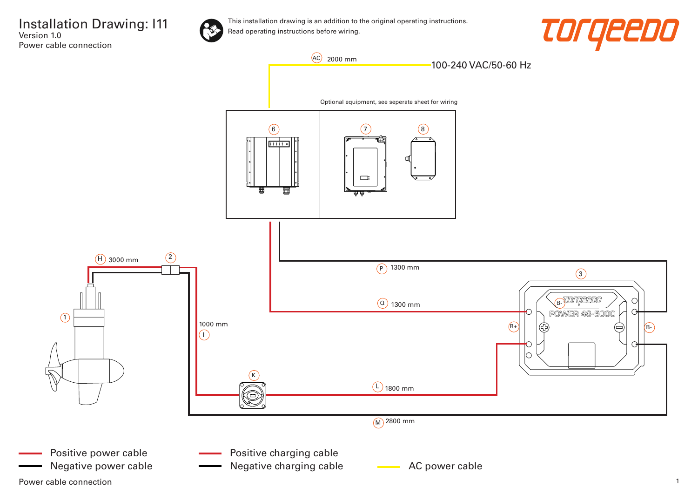Installation Drawing: I11 Version 1.0 Power cable connection



This installation drawing is an addition to the original operating instructions. Read operating instructions before wiring.



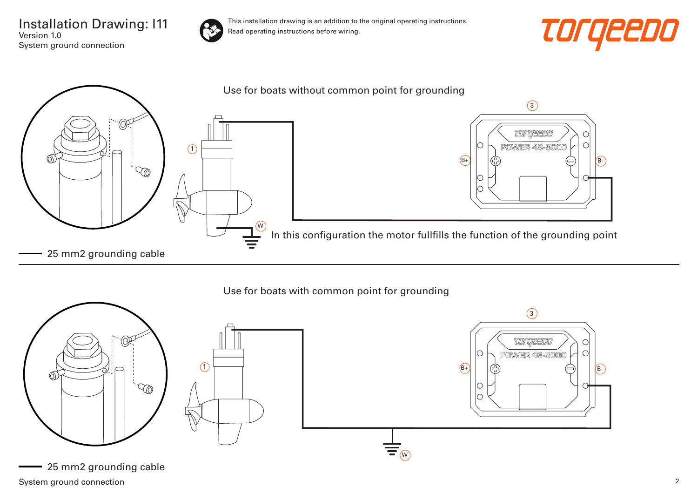Installation Drawing: I11 Version 1.0 System ground connection



This installation drawing is an addition to the original operating instructions. Read operating instructions before wiring.





## Use for boats with common point for grounding



25 mm2 grounding cable

System ground connection 2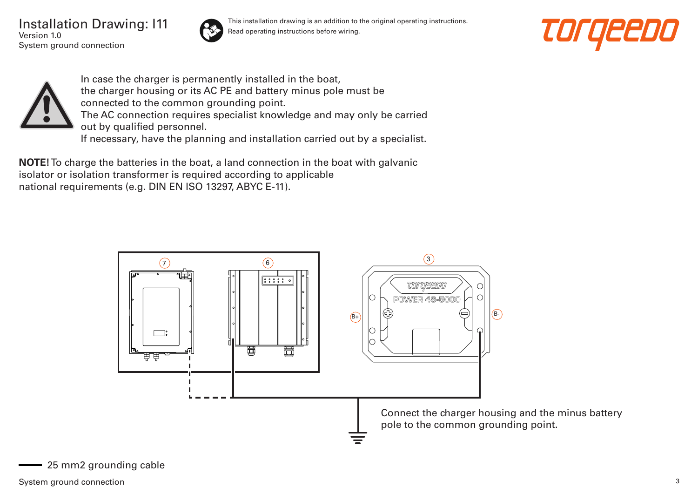Installation Drawing: I11 Version 1.0 System ground connection



This installation drawing is an addition to the original operating instructions. Read operating instructions before wiring.





In case the charger is permanently installed in the boat, the charger housing or its AC PE and battery minus pole must be connected to the common grounding point. The AC connection requires specialist knowledge and may only be carried out by qualified personnel. If necessary, have the planning and installation carried out by a specialist.

**NOTE!** To charge the batteries in the boat, a land connection in the boat with galvanic isolator or isolation transformer is required according to applicable national requirements (e.g. DIN EN ISO 13297, ABYC E-11).



25 mm2 grounding cable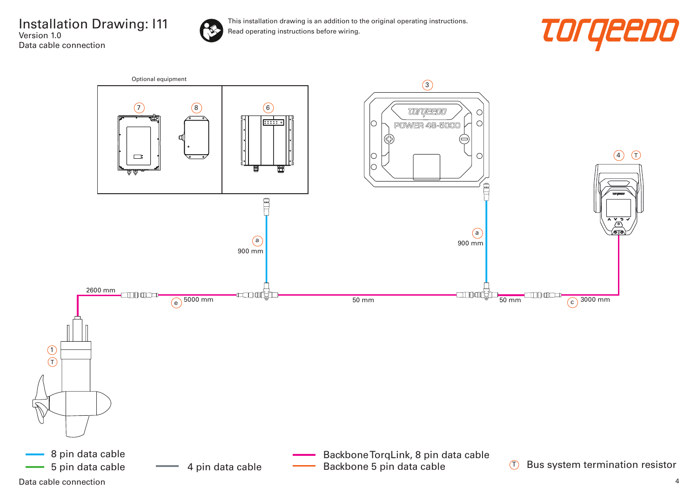Installation Drawing: I11 Version 1.0 Data cable connection



This installation drawing is an addition to the original operating instructions. Read operating instructions before wiring.



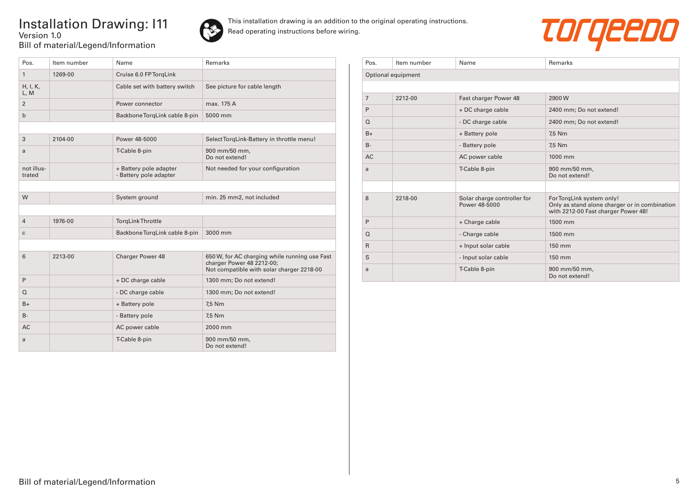## Installation Drawing: I11 Version 1.0 Bill of material/Legend/Information



This installation drawing is an addition to the original operating instructions. Read operating instructions before wiring.



| Pos.                 | Item number | Name                                             | <b>Remarks</b>                                                                                                          |
|----------------------|-------------|--------------------------------------------------|-------------------------------------------------------------------------------------------------------------------------|
| $\mathbf{1}$         | 1269-00     | Cruise 6.0 FP TorgLink                           |                                                                                                                         |
| H, I, K,<br>L, M     |             | Cable set with battery switch                    | See picture for cable length                                                                                            |
| $\overline{2}$       |             | Power connector                                  | max. 175 A                                                                                                              |
| $\mathsf b$          |             | Backbone TorgLink cable 8-pin                    | 5000 mm                                                                                                                 |
|                      |             |                                                  |                                                                                                                         |
| 3                    | 2104-00     | Power 48-5000                                    | Select TorqLink-Battery in throttle menu!                                                                               |
| a                    |             | T-Cable 8-pin                                    | 900 mm/50 mm,<br>Do not extend!                                                                                         |
| not illus-<br>trated |             | + Battery pole adapter<br>- Battery pole adapter | Not needed for your configuration                                                                                       |
|                      |             |                                                  |                                                                                                                         |
| W                    |             | System ground                                    | min. 25 mm2, not included                                                                                               |
|                      |             |                                                  |                                                                                                                         |
| $\overline{4}$       | 1976-00     | <b>TorgLinkThrottle</b>                          |                                                                                                                         |
| C                    |             | Backbone TorqLink cable 8-pin                    | 3000 mm                                                                                                                 |
|                      |             |                                                  |                                                                                                                         |
| 6                    | 2213-00     | Charger Power 48                                 | 650 W, for AC charging while running use Fast<br>charger Power 48 2212-00;<br>Not compatible with solar charger 2218-00 |
| P                    |             | + DC charge cable                                | 1300 mm; Do not extend!                                                                                                 |
| $\Omega$             |             | - DC charge cable                                | 1300 mm; Do not extend!                                                                                                 |
| $B+$                 |             | + Battery pole                                   | 7,5 Nm                                                                                                                  |
| $B -$                |             | - Battery pole                                   | 7.5 Nm                                                                                                                  |
| AC.                  |             | AC power cable                                   | 2000 mm                                                                                                                 |
| a                    |             | T-Cable 8-pin                                    | 900 mm/50 mm,<br>Do not extend!                                                                                         |

| Pos.           | Item number        | Name                                         | Remarks                                                                                                           |
|----------------|--------------------|----------------------------------------------|-------------------------------------------------------------------------------------------------------------------|
|                | Optional equipment |                                              |                                                                                                                   |
|                |                    |                                              |                                                                                                                   |
| $\overline{7}$ | 2212-00            | Fast charger Power 48                        | 2900W                                                                                                             |
| P              |                    | + DC charge cable                            | 2400 mm; Do not extend!                                                                                           |
| $\Omega$       |                    | - DC charge cable                            | 2400 mm; Do not extend!                                                                                           |
| $B+$           |                    | + Battery pole                               | 7,5 Nm                                                                                                            |
| $B -$          |                    | - Battery pole                               | 7,5 Nm                                                                                                            |
| <b>AC</b>      |                    | AC power cable                               | 1000 mm                                                                                                           |
| a              |                    | T-Cable 8-pin                                | 900 mm/50 mm,<br>Do not extend!                                                                                   |
|                |                    |                                              |                                                                                                                   |
| 8              | 2218-00            | Solar charge controller for<br>Power 48-5000 | For TorqLink system only!<br>Only as stand alone charger or in combination<br>with 2212-00 Fast charger Power 48! |
| P              |                    | + Charge cable                               | 1500 mm                                                                                                           |
| $\Omega$       |                    | - Charge cable                               | 1500 mm                                                                                                           |
| $\mathsf{R}$   |                    | + Input solar cable                          | 150 mm                                                                                                            |
| S              |                    | - Input solar cable                          | 150 mm                                                                                                            |
| a              |                    | T-Cable 8-pin                                | 900 mm/50 mm,<br>Do not extend!                                                                                   |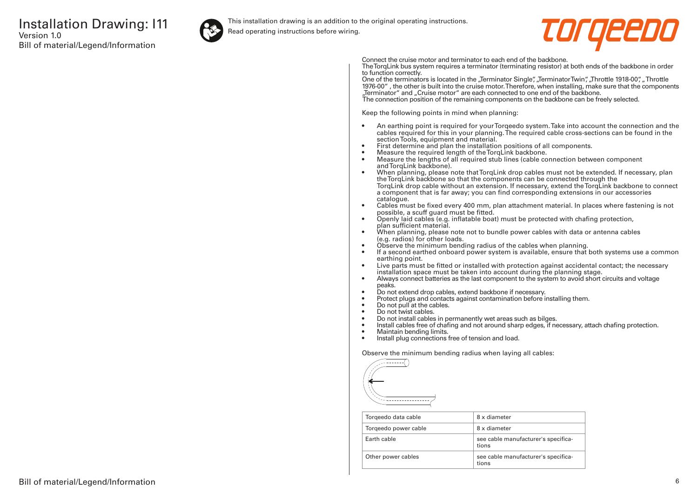

This installation drawing is an addition to the original operating instructions.

Read operating instructions before wiring.



Connect the cruise motor and terminator to each end of the backbone.

The TorqLink bus system requires a terminator (terminating resistor) at both ends of the backbone in order to function correctly.

One of the terminators is located in the "Terminator Single", "Terminator Twin", "Throttle 1918-00", "Throttle 1976-00" , the other is built into the cruise motor. Therefore, when installing, make sure that the components "Terminator" and "Cruise motor" are each connected to one end of the backbone. The connection position of the remaining components on the backbone can be freely selected.

Keep the following points in mind when planning:

- An earthing point is required for your Torqeedo system. Take into account the connection and the cables required for this in your planning. The required cable cross-sections can be found in the section Tools, equipment and material.
- First determine and plan the installation positions of all components.
- Measure the required length of the TorqLink backbone.<br>• Measure the lengths of all required stub lines (cable co
- Measure the lengths of all required stub lines (cable connection between component and TorqLink backbone).
- When planning, please note that TorqLink drop cables must not be extended. If necessary, plan the TorqLink backbone so that the components can be connected through the TorqLink drop cable without an extension. If necessary, extend the TorqLink backbone to connect a component that is far away; you can find corresponding extensions in our accessories catalogue.
- Cables must be fixed every 400 mm, plan attachment material. In places where fastening is not possible, a scuff guard must be fitted.
- Openly laid cables (e.g. inflatable boat) must be protected with chafing protection, plan sufficient material.
- When planning, please note not to bundle power cables with data or antenna cables (e.g. radios) for other loads.
- Observe the minimum bending radius of the cables when planning.
- If a second earthed onboard power system is available, ensure that both systems use a common earthing point.
- Live parts must be fitted or installed with protection against accidental contact; the necessary installation space must be taken into account during the planning stage.
- Always connect batteries as the last component to the system to avoid short circuits and voltage peaks.
- Do not extend drop cables, extend backbone if necessary.
- Protect plugs and contacts against contamination before installing them.
- Do not pull at the cables.
- Do not twist cables.
- Do not install cables in permanently wet areas such as bilges.
- Install cables free of chafing and not around sharp edges, if necessary, attach chafing protection.<br>• Maintain bending limits
- Maintain bending limits.
- Install plug connections free of tension and load.

Observe the minimum bending radius when laying all cables:



| Torgeedo data cable  | 8 x diameter                                 |
|----------------------|----------------------------------------------|
| Torgeedo power cable | 8 x diameter                                 |
| Farth cable          | see cable manufacturer's specifica-<br>tions |
| Other power cables   | see cable manufacturer's specifica-<br>tions |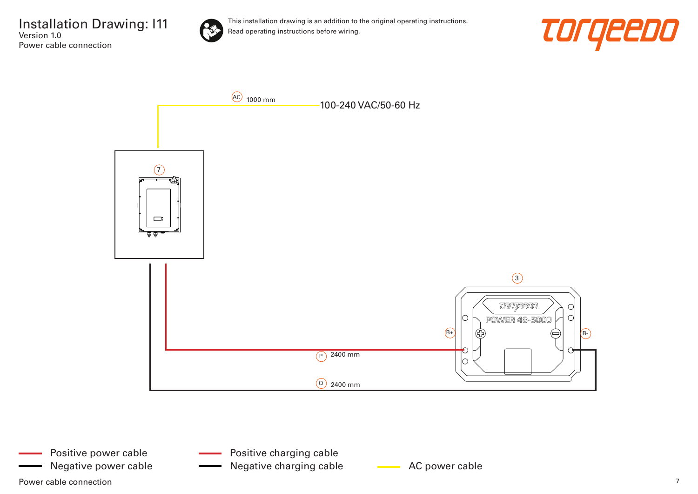Installation Drawing: I11 Version 1.0 Power cable connection



This installation drawing is an addition to the original operating instructions. Read operating instructions before wiring.





Positive power cable Negative power cable **AC AC power cable** AC power cable Negative charging cable

Power cable connection  $\overline{7}$